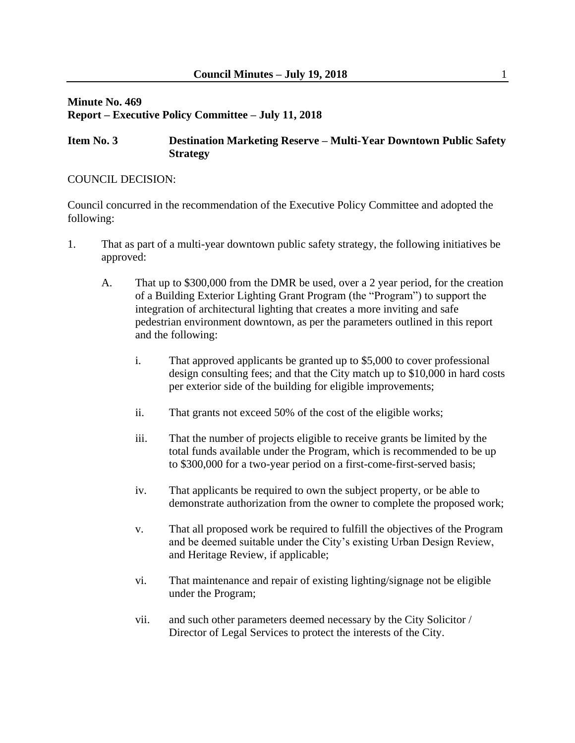#### **Minute No. 469 Report – Executive Policy Committee – July 11, 2018**

#### **Item No. 3 Destination Marketing Reserve – Multi-Year Downtown Public Safety Strategy**

#### COUNCIL DECISION:

Council concurred in the recommendation of the Executive Policy Committee and adopted the following:

- 1. That as part of a multi-year downtown public safety strategy, the following initiatives be approved:
	- A. That up to \$300,000 from the DMR be used, over a 2 year period, for the creation of a Building Exterior Lighting Grant Program (the "Program") to support the integration of architectural lighting that creates a more inviting and safe pedestrian environment downtown, as per the parameters outlined in this report and the following:
		- i. That approved applicants be granted up to \$5,000 to cover professional design consulting fees; and that the City match up to \$10,000 in hard costs per exterior side of the building for eligible improvements;
		- ii. That grants not exceed 50% of the cost of the eligible works;
		- iii. That the number of projects eligible to receive grants be limited by the total funds available under the Program, which is recommended to be up to \$300,000 for a two-year period on a first-come-first-served basis;
		- iv. That applicants be required to own the subject property, or be able to demonstrate authorization from the owner to complete the proposed work;
		- v. That all proposed work be required to fulfill the objectives of the Program and be deemed suitable under the City's existing Urban Design Review, and Heritage Review, if applicable;
		- vi. That maintenance and repair of existing lighting/signage not be eligible under the Program;
		- vii. and such other parameters deemed necessary by the City Solicitor / Director of Legal Services to protect the interests of the City.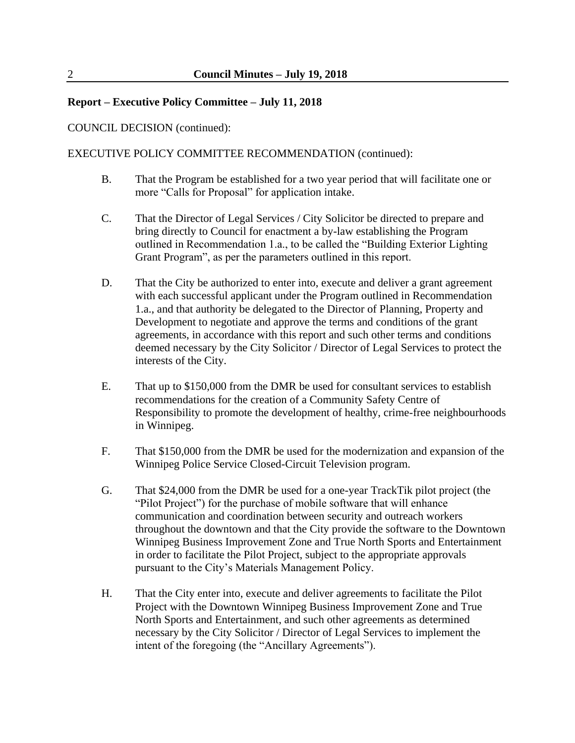COUNCIL DECISION (continued):

EXECUTIVE POLICY COMMITTEE RECOMMENDATION (continued):

- B. That the Program be established for a two year period that will facilitate one or more "Calls for Proposal" for application intake.
- C. That the Director of Legal Services / City Solicitor be directed to prepare and bring directly to Council for enactment a by-law establishing the Program outlined in Recommendation 1.a., to be called the "Building Exterior Lighting Grant Program", as per the parameters outlined in this report.
- D. That the City be authorized to enter into, execute and deliver a grant agreement with each successful applicant under the Program outlined in Recommendation 1.a., and that authority be delegated to the Director of Planning, Property and Development to negotiate and approve the terms and conditions of the grant agreements, in accordance with this report and such other terms and conditions deemed necessary by the City Solicitor / Director of Legal Services to protect the interests of the City.
- E. That up to \$150,000 from the DMR be used for consultant services to establish recommendations for the creation of a Community Safety Centre of Responsibility to promote the development of healthy, crime-free neighbourhoods in Winnipeg.
- F. That \$150,000 from the DMR be used for the modernization and expansion of the Winnipeg Police Service Closed-Circuit Television program.
- G. That \$24,000 from the DMR be used for a one-year TrackTik pilot project (the "Pilot Project") for the purchase of mobile software that will enhance communication and coordination between security and outreach workers throughout the downtown and that the City provide the software to the Downtown Winnipeg Business Improvement Zone and True North Sports and Entertainment in order to facilitate the Pilot Project, subject to the appropriate approvals pursuant to the City's Materials Management Policy.
- H. That the City enter into, execute and deliver agreements to facilitate the Pilot Project with the Downtown Winnipeg Business Improvement Zone and True North Sports and Entertainment, and such other agreements as determined necessary by the City Solicitor / Director of Legal Services to implement the intent of the foregoing (the "Ancillary Agreements").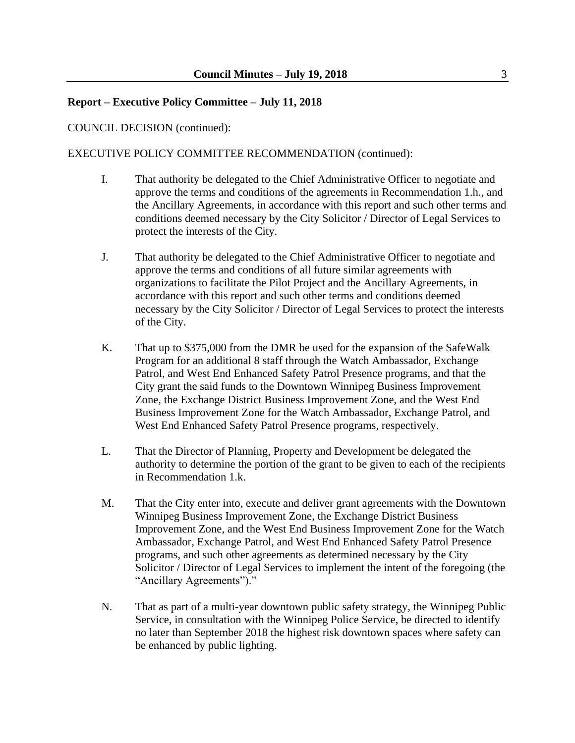COUNCIL DECISION (continued):

EXECUTIVE POLICY COMMITTEE RECOMMENDATION (continued):

- I. That authority be delegated to the Chief Administrative Officer to negotiate and approve the terms and conditions of the agreements in Recommendation 1.h., and the Ancillary Agreements, in accordance with this report and such other terms and conditions deemed necessary by the City Solicitor / Director of Legal Services to protect the interests of the City.
- J. That authority be delegated to the Chief Administrative Officer to negotiate and approve the terms and conditions of all future similar agreements with organizations to facilitate the Pilot Project and the Ancillary Agreements, in accordance with this report and such other terms and conditions deemed necessary by the City Solicitor / Director of Legal Services to protect the interests of the City.
- K. That up to \$375,000 from the DMR be used for the expansion of the SafeWalk Program for an additional 8 staff through the Watch Ambassador, Exchange Patrol, and West End Enhanced Safety Patrol Presence programs, and that the City grant the said funds to the Downtown Winnipeg Business Improvement Zone, the Exchange District Business Improvement Zone, and the West End Business Improvement Zone for the Watch Ambassador, Exchange Patrol, and West End Enhanced Safety Patrol Presence programs, respectively.
- L. That the Director of Planning, Property and Development be delegated the authority to determine the portion of the grant to be given to each of the recipients in Recommendation 1.k.
- M. That the City enter into, execute and deliver grant agreements with the Downtown Winnipeg Business Improvement Zone, the Exchange District Business Improvement Zone, and the West End Business Improvement Zone for the Watch Ambassador, Exchange Patrol, and West End Enhanced Safety Patrol Presence programs, and such other agreements as determined necessary by the City Solicitor / Director of Legal Services to implement the intent of the foregoing (the "Ancillary Agreements")."
- N. That as part of a multi-year downtown public safety strategy, the Winnipeg Public Service, in consultation with the Winnipeg Police Service, be directed to identify no later than September 2018 the highest risk downtown spaces where safety can be enhanced by public lighting.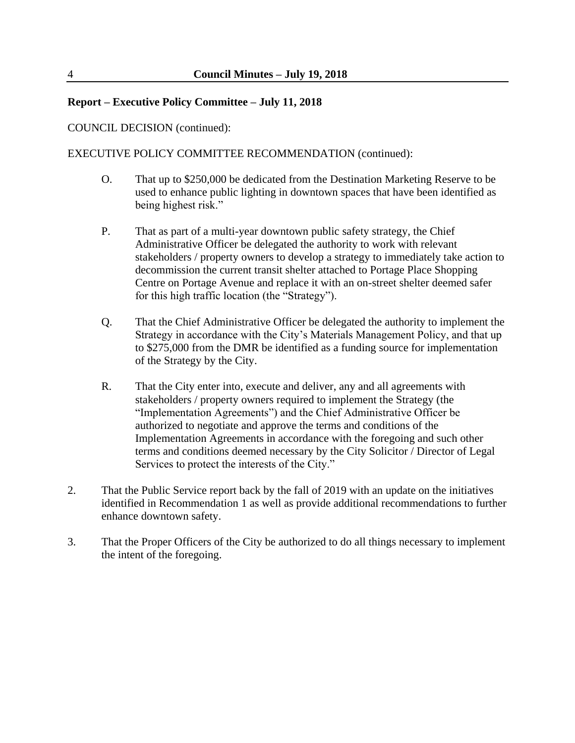COUNCIL DECISION (continued):

EXECUTIVE POLICY COMMITTEE RECOMMENDATION (continued):

- O. That up to \$250,000 be dedicated from the Destination Marketing Reserve to be used to enhance public lighting in downtown spaces that have been identified as being highest risk."
- P. That as part of a multi-year downtown public safety strategy, the Chief Administrative Officer be delegated the authority to work with relevant stakeholders / property owners to develop a strategy to immediately take action to decommission the current transit shelter attached to Portage Place Shopping Centre on Portage Avenue and replace it with an on-street shelter deemed safer for this high traffic location (the "Strategy").
- Q. That the Chief Administrative Officer be delegated the authority to implement the Strategy in accordance with the City's Materials Management Policy, and that up to \$275,000 from the DMR be identified as a funding source for implementation of the Strategy by the City.
- R. That the City enter into, execute and deliver, any and all agreements with stakeholders / property owners required to implement the Strategy (the "Implementation Agreements") and the Chief Administrative Officer be authorized to negotiate and approve the terms and conditions of the Implementation Agreements in accordance with the foregoing and such other terms and conditions deemed necessary by the City Solicitor / Director of Legal Services to protect the interests of the City."
- 2. That the Public Service report back by the fall of 2019 with an update on the initiatives identified in Recommendation 1 as well as provide additional recommendations to further enhance downtown safety.
- 3. That the Proper Officers of the City be authorized to do all things necessary to implement the intent of the foregoing.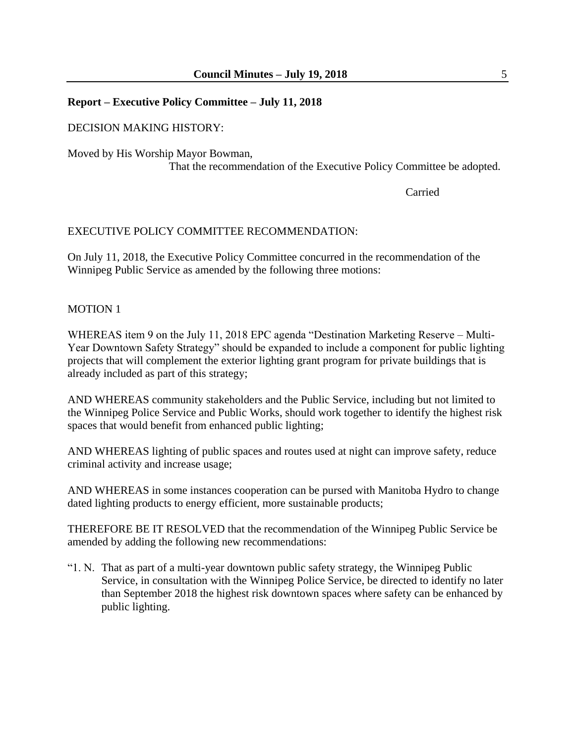#### DECISION MAKING HISTORY:

Moved by His Worship Mayor Bowman, That the recommendation of the Executive Policy Committee be adopted.

Carried

#### EXECUTIVE POLICY COMMITTEE RECOMMENDATION:

On July 11, 2018, the Executive Policy Committee concurred in the recommendation of the Winnipeg Public Service as amended by the following three motions:

#### MOTION 1

WHEREAS item 9 on the July 11, 2018 EPC agenda "Destination Marketing Reserve – Multi-Year Downtown Safety Strategy" should be expanded to include a component for public lighting projects that will complement the exterior lighting grant program for private buildings that is already included as part of this strategy;

AND WHEREAS community stakeholders and the Public Service, including but not limited to the Winnipeg Police Service and Public Works, should work together to identify the highest risk spaces that would benefit from enhanced public lighting;

AND WHEREAS lighting of public spaces and routes used at night can improve safety, reduce criminal activity and increase usage;

AND WHEREAS in some instances cooperation can be pursed with Manitoba Hydro to change dated lighting products to energy efficient, more sustainable products;

THEREFORE BE IT RESOLVED that the recommendation of the Winnipeg Public Service be amended by adding the following new recommendations:

"1. N. That as part of a multi-year downtown public safety strategy, the Winnipeg Public Service, in consultation with the Winnipeg Police Service, be directed to identify no later than September 2018 the highest risk downtown spaces where safety can be enhanced by public lighting.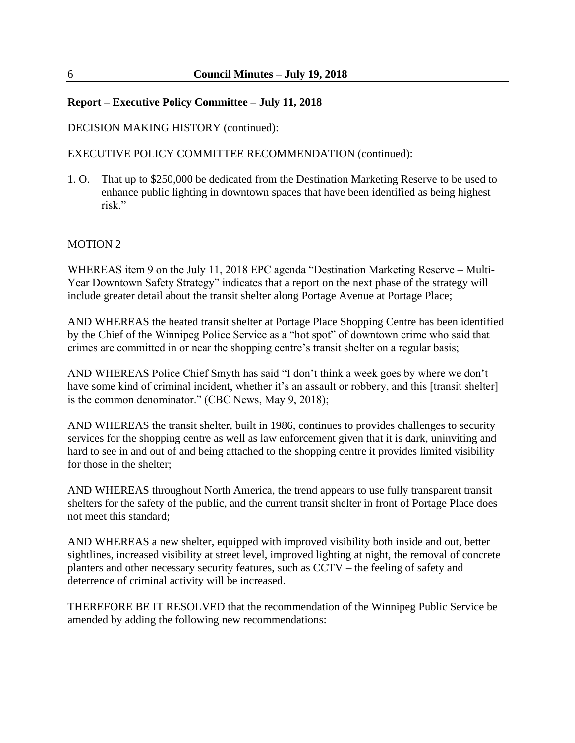#### DECISION MAKING HISTORY (continued):

EXECUTIVE POLICY COMMITTEE RECOMMENDATION (continued):

1. O. That up to \$250,000 be dedicated from the Destination Marketing Reserve to be used to enhance public lighting in downtown spaces that have been identified as being highest risk."

#### MOTION 2

WHEREAS item 9 on the July 11, 2018 EPC agenda "Destination Marketing Reserve – Multi-Year Downtown Safety Strategy" indicates that a report on the next phase of the strategy will include greater detail about the transit shelter along Portage Avenue at Portage Place;

AND WHEREAS the heated transit shelter at Portage Place Shopping Centre has been identified by the Chief of the Winnipeg Police Service as a "hot spot" of downtown crime who said that crimes are committed in or near the shopping centre's transit shelter on a regular basis;

AND WHEREAS Police Chief Smyth has said "I don't think a week goes by where we don't have some kind of criminal incident, whether it's an assault or robbery, and this [transit shelter] is the common denominator." (CBC News, May 9, 2018);

AND WHEREAS the transit shelter, built in 1986, continues to provides challenges to security services for the shopping centre as well as law enforcement given that it is dark, uninviting and hard to see in and out of and being attached to the shopping centre it provides limited visibility for those in the shelter;

AND WHEREAS throughout North America, the trend appears to use fully transparent transit shelters for the safety of the public, and the current transit shelter in front of Portage Place does not meet this standard;

AND WHEREAS a new shelter, equipped with improved visibility both inside and out, better sightlines, increased visibility at street level, improved lighting at night, the removal of concrete planters and other necessary security features, such as CCTV – the feeling of safety and deterrence of criminal activity will be increased.

THEREFORE BE IT RESOLVED that the recommendation of the Winnipeg Public Service be amended by adding the following new recommendations: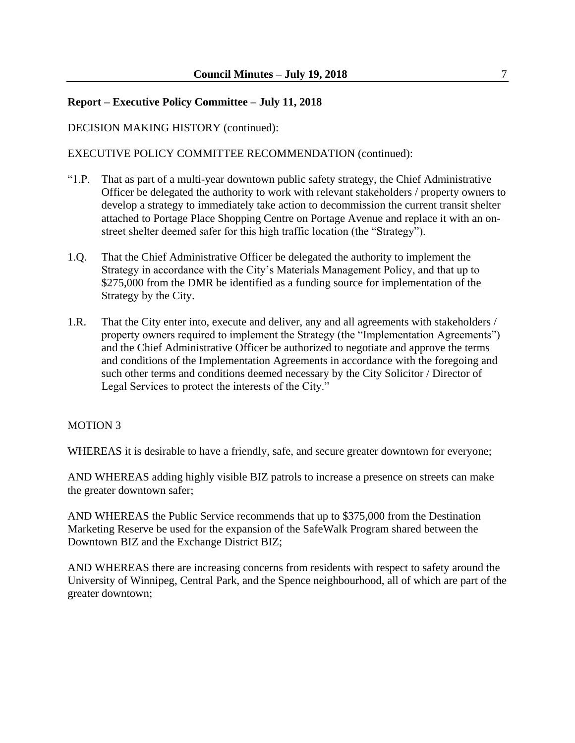#### DECISION MAKING HISTORY (continued):

EXECUTIVE POLICY COMMITTEE RECOMMENDATION (continued):

- "1.P. That as part of a multi-year downtown public safety strategy, the Chief Administrative Officer be delegated the authority to work with relevant stakeholders / property owners to develop a strategy to immediately take action to decommission the current transit shelter attached to Portage Place Shopping Centre on Portage Avenue and replace it with an onstreet shelter deemed safer for this high traffic location (the "Strategy").
- 1.Q. That the Chief Administrative Officer be delegated the authority to implement the Strategy in accordance with the City's Materials Management Policy, and that up to \$275,000 from the DMR be identified as a funding source for implementation of the Strategy by the City.
- 1.R. That the City enter into, execute and deliver, any and all agreements with stakeholders / property owners required to implement the Strategy (the "Implementation Agreements") and the Chief Administrative Officer be authorized to negotiate and approve the terms and conditions of the Implementation Agreements in accordance with the foregoing and such other terms and conditions deemed necessary by the City Solicitor / Director of Legal Services to protect the interests of the City."

#### MOTION 3

WHEREAS it is desirable to have a friendly, safe, and secure greater downtown for everyone;

AND WHEREAS adding highly visible BIZ patrols to increase a presence on streets can make the greater downtown safer;

AND WHEREAS the Public Service recommends that up to \$375,000 from the Destination Marketing Reserve be used for the expansion of the SafeWalk Program shared between the Downtown BIZ and the Exchange District BIZ;

AND WHEREAS there are increasing concerns from residents with respect to safety around the University of Winnipeg, Central Park, and the Spence neighbourhood, all of which are part of the greater downtown;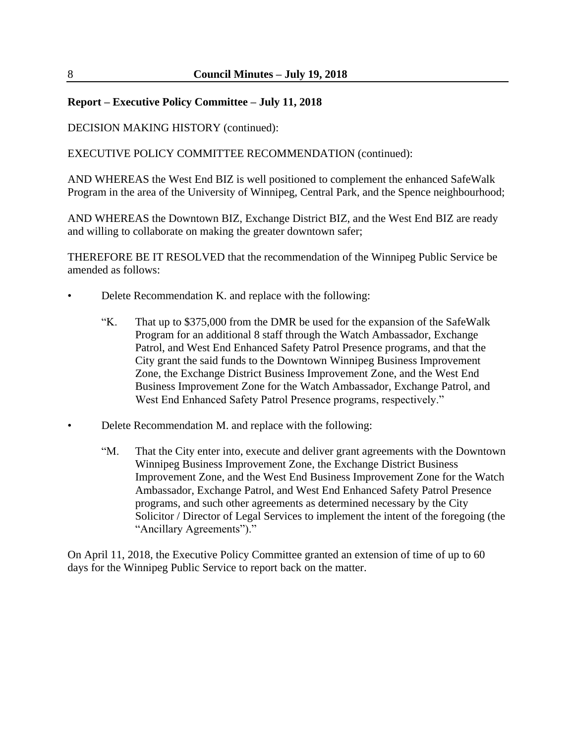DECISION MAKING HISTORY (continued):

EXECUTIVE POLICY COMMITTEE RECOMMENDATION (continued):

AND WHEREAS the West End BIZ is well positioned to complement the enhanced SafeWalk Program in the area of the University of Winnipeg, Central Park, and the Spence neighbourhood;

AND WHEREAS the Downtown BIZ, Exchange District BIZ, and the West End BIZ are ready and willing to collaborate on making the greater downtown safer;

THEREFORE BE IT RESOLVED that the recommendation of the Winnipeg Public Service be amended as follows:

- Delete Recommendation K. and replace with the following:
	- "K. That up to \$375,000 from the DMR be used for the expansion of the SafeWalk Program for an additional 8 staff through the Watch Ambassador, Exchange Patrol, and West End Enhanced Safety Patrol Presence programs, and that the City grant the said funds to the Downtown Winnipeg Business Improvement Zone, the Exchange District Business Improvement Zone, and the West End Business Improvement Zone for the Watch Ambassador, Exchange Patrol, and West End Enhanced Safety Patrol Presence programs, respectively."
- Delete Recommendation M. and replace with the following:
	- "M. That the City enter into, execute and deliver grant agreements with the Downtown Winnipeg Business Improvement Zone, the Exchange District Business Improvement Zone, and the West End Business Improvement Zone for the Watch Ambassador, Exchange Patrol, and West End Enhanced Safety Patrol Presence programs, and such other agreements as determined necessary by the City Solicitor / Director of Legal Services to implement the intent of the foregoing (the "Ancillary Agreements")."

On April 11, 2018, the Executive Policy Committee granted an extension of time of up to 60 days for the Winnipeg Public Service to report back on the matter.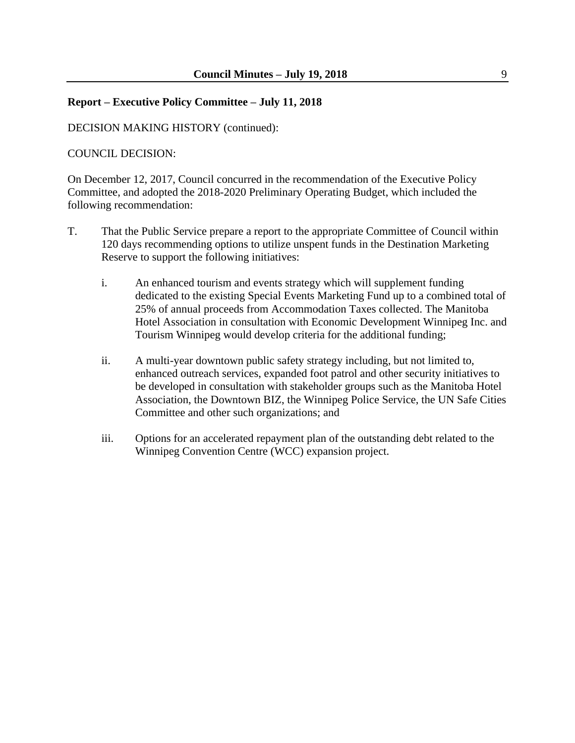#### DECISION MAKING HISTORY (continued):

#### COUNCIL DECISION:

On December 12, 2017, Council concurred in the recommendation of the Executive Policy Committee, and adopted the 2018-2020 Preliminary Operating Budget, which included the following recommendation:

- T. That the Public Service prepare a report to the appropriate Committee of Council within 120 days recommending options to utilize unspent funds in the Destination Marketing Reserve to support the following initiatives:
	- i. An enhanced tourism and events strategy which will supplement funding dedicated to the existing Special Events Marketing Fund up to a combined total of 25% of annual proceeds from Accommodation Taxes collected. The Manitoba Hotel Association in consultation with Economic Development Winnipeg Inc. and Tourism Winnipeg would develop criteria for the additional funding;
	- ii. A multi-year downtown public safety strategy including, but not limited to, enhanced outreach services, expanded foot patrol and other security initiatives to be developed in consultation with stakeholder groups such as the Manitoba Hotel Association, the Downtown BIZ, the Winnipeg Police Service, the UN Safe Cities Committee and other such organizations; and
	- iii. Options for an accelerated repayment plan of the outstanding debt related to the Winnipeg Convention Centre (WCC) expansion project.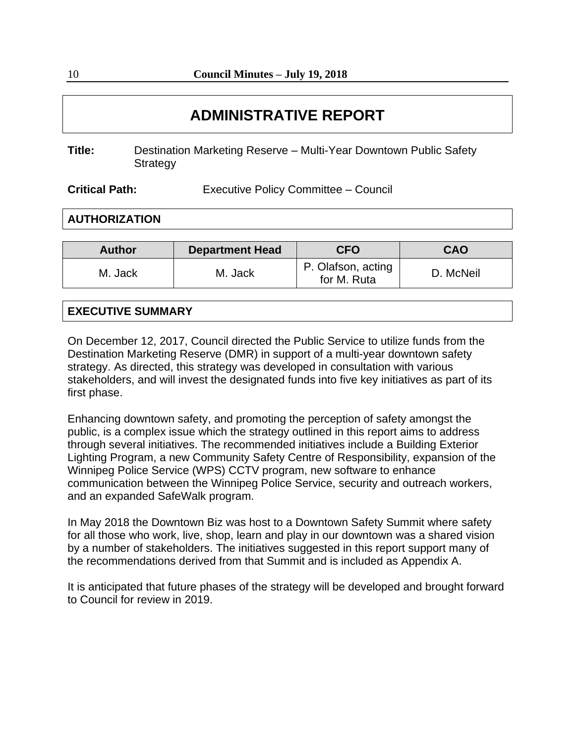# **ADMINISTRATIVE REPORT**

| Title: | Destination Marketing Reserve - Multi-Year Downtown Public Safety |
|--------|-------------------------------------------------------------------|
|        | Strategy                                                          |

**Critical Path:** Executive Policy Committee – Council

**AUTHORIZATION**

| <b>Author</b> | <b>Department Head</b> | <b>CFO</b>                        | <b>CAO</b> |  |  |
|---------------|------------------------|-----------------------------------|------------|--|--|
| M. Jack       | M. Jack                | P. Olafson, acting<br>for M. Ruta | D. McNeil  |  |  |

# **EXECUTIVE SUMMARY**

On December 12, 2017, Council directed the Public Service to utilize funds from the Destination Marketing Reserve (DMR) in support of a multi-year downtown safety strategy. As directed, this strategy was developed in consultation with various stakeholders, and will invest the designated funds into five key initiatives as part of its first phase.

Enhancing downtown safety, and promoting the perception of safety amongst the public, is a complex issue which the strategy outlined in this report aims to address through several initiatives. The recommended initiatives include a Building Exterior Lighting Program, a new Community Safety Centre of Responsibility, expansion of the Winnipeg Police Service (WPS) CCTV program, new software to enhance communication between the Winnipeg Police Service, security and outreach workers, and an expanded SafeWalk program.

In May 2018 the Downtown Biz was host to a Downtown Safety Summit where safety for all those who work, live, shop, learn and play in our downtown was a shared vision by a number of stakeholders. The initiatives suggested in this report support many of the recommendations derived from that Summit and is included as Appendix A.

It is anticipated that future phases of the strategy will be developed and brought forward to Council for review in 2019.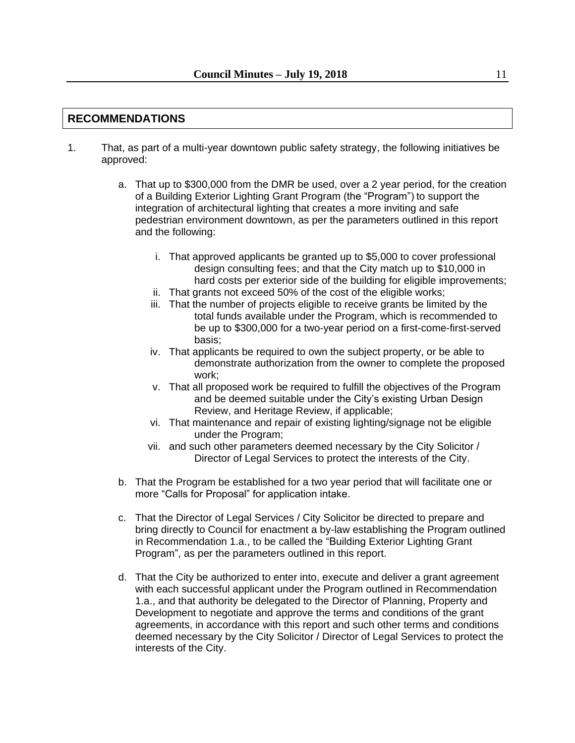# **RECOMMENDATIONS**

- 1. That, as part of a multi-year downtown public safety strategy, the following initiatives be approved:
	- a. That up to \$300,000 from the DMR be used, over a 2 year period, for the creation of a Building Exterior Lighting Grant Program (the "Program") to support the integration of architectural lighting that creates a more inviting and safe pedestrian environment downtown, as per the parameters outlined in this report and the following:
		- i. That approved applicants be granted up to \$5,000 to cover professional design consulting fees; and that the City match up to \$10,000 in hard costs per exterior side of the building for eligible improvements;
		- ii. That grants not exceed 50% of the cost of the eligible works;
		- iii. That the number of projects eligible to receive grants be limited by the total funds available under the Program, which is recommended to be up to \$300,000 for a two-year period on a first-come-first-served basis;
		- iv. That applicants be required to own the subject property, or be able to demonstrate authorization from the owner to complete the proposed work;
		- v. That all proposed work be required to fulfill the objectives of the Program and be deemed suitable under the City's existing Urban Design Review, and Heritage Review, if applicable;
		- vi. That maintenance and repair of existing lighting/signage not be eligible under the Program;
		- vii. and such other parameters deemed necessary by the City Solicitor / Director of Legal Services to protect the interests of the City.
	- b. That the Program be established for a two year period that will facilitate one or more "Calls for Proposal" for application intake.
	- c. That the Director of Legal Services / City Solicitor be directed to prepare and bring directly to Council for enactment a by-law establishing the Program outlined in Recommendation 1.a., to be called the "Building Exterior Lighting Grant Program", as per the parameters outlined in this report.
	- d. That the City be authorized to enter into, execute and deliver a grant agreement with each successful applicant under the Program outlined in Recommendation 1.a., and that authority be delegated to the Director of Planning, Property and Development to negotiate and approve the terms and conditions of the grant agreements, in accordance with this report and such other terms and conditions deemed necessary by the City Solicitor / Director of Legal Services to protect the interests of the City.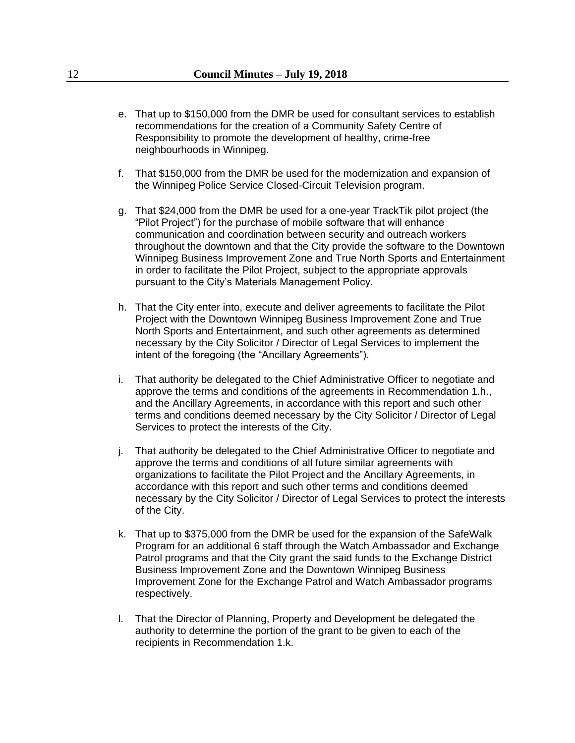- e. That up to \$150,000 from the DMR be used for consultant services to establish recommendations for the creation of a Community Safety Centre of Responsibility to promote the development of healthy, crime-free neighbourhoods in Winnipeg.
- f. That \$150,000 from the DMR be used for the modernization and expansion of the Winnipeg Police Service Closed-Circuit Television program.
- g. That \$24,000 from the DMR be used for a one-year TrackTik pilot project (the "Pilot Project") for the purchase of mobile software that will enhance communication and coordination between security and outreach workers throughout the downtown and that the City provide the software to the Downtown Winnipeg Business Improvement Zone and True North Sports and Entertainment in order to facilitate the Pilot Project, subject to the appropriate approvals pursuant to the City's Materials Management Policy.
- h. That the City enter into, execute and deliver agreements to facilitate the Pilot Project with the Downtown Winnipeg Business Improvement Zone and True North Sports and Entertainment, and such other agreements as determined necessary by the City Solicitor / Director of Legal Services to implement the intent of the foregoing (the "Ancillary Agreements").
- i. That authority be delegated to the Chief Administrative Officer to negotiate and approve the terms and conditions of the agreements in Recommendation 1.h., and the Ancillary Agreements, in accordance with this report and such other terms and conditions deemed necessary by the City Solicitor / Director of Legal Services to protect the interests of the City.
- j. That authority be delegated to the Chief Administrative Officer to negotiate and approve the terms and conditions of all future similar agreements with organizations to facilitate the Pilot Project and the Ancillary Agreements, in accordance with this report and such other terms and conditions deemed necessary by the City Solicitor / Director of Legal Services to protect the interests of the City.
- k. That up to \$375,000 from the DMR be used for the expansion of the SafeWalk Program for an additional 6 staff through the Watch Ambassador and Exchange Patrol programs and that the City grant the said funds to the Exchange District Business Improvement Zone and the Downtown Winnipeg Business Improvement Zone for the Exchange Patrol and Watch Ambassador programs respectively.
- l. That the Director of Planning, Property and Development be delegated the authority to determine the portion of the grant to be given to each of the recipients in Recommendation 1.k.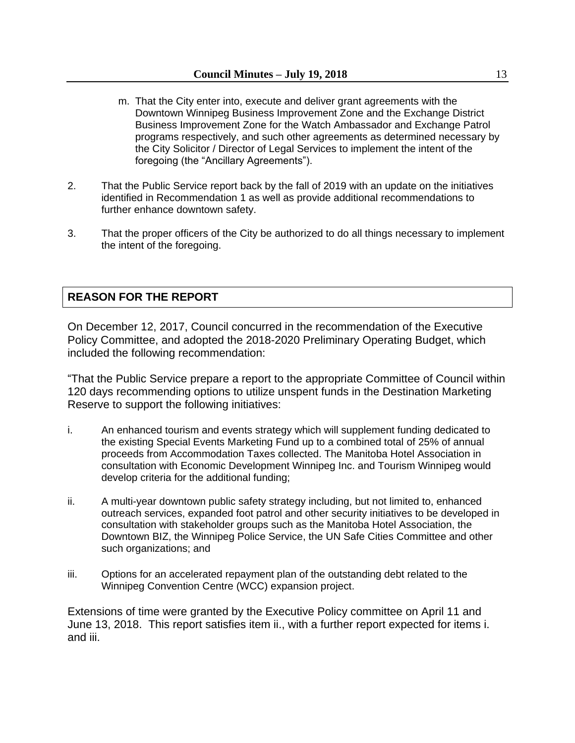- m. That the City enter into, execute and deliver grant agreements with the Downtown Winnipeg Business Improvement Zone and the Exchange District Business Improvement Zone for the Watch Ambassador and Exchange Patrol programs respectively, and such other agreements as determined necessary by the City Solicitor / Director of Legal Services to implement the intent of the foregoing (the "Ancillary Agreements").
- 2. That the Public Service report back by the fall of 2019 with an update on the initiatives identified in Recommendation 1 as well as provide additional recommendations to further enhance downtown safety.
- 3. That the proper officers of the City be authorized to do all things necessary to implement the intent of the foregoing.

#### **REASON FOR THE REPORT**

On December 12, 2017, Council concurred in the recommendation of the Executive Policy Committee, and adopted the 2018-2020 Preliminary Operating Budget, which included the following recommendation:

"That the Public Service prepare a report to the appropriate Committee of Council within 120 days recommending options to utilize unspent funds in the Destination Marketing Reserve to support the following initiatives:

- i. An enhanced tourism and events strategy which will supplement funding dedicated to the existing Special Events Marketing Fund up to a combined total of 25% of annual proceeds from Accommodation Taxes collected. The Manitoba Hotel Association in consultation with Economic Development Winnipeg Inc. and Tourism Winnipeg would develop criteria for the additional funding;
- ii. A multi-year downtown public safety strategy including, but not limited to, enhanced outreach services, expanded foot patrol and other security initiatives to be developed in consultation with stakeholder groups such as the Manitoba Hotel Association, the Downtown BIZ, the Winnipeg Police Service, the UN Safe Cities Committee and other such organizations; and
- iii. Options for an accelerated repayment plan of the outstanding debt related to the Winnipeg Convention Centre (WCC) expansion project.

Extensions of time were granted by the Executive Policy committee on April 11 and June 13, 2018. This report satisfies item ii., with a further report expected for items i. and iii.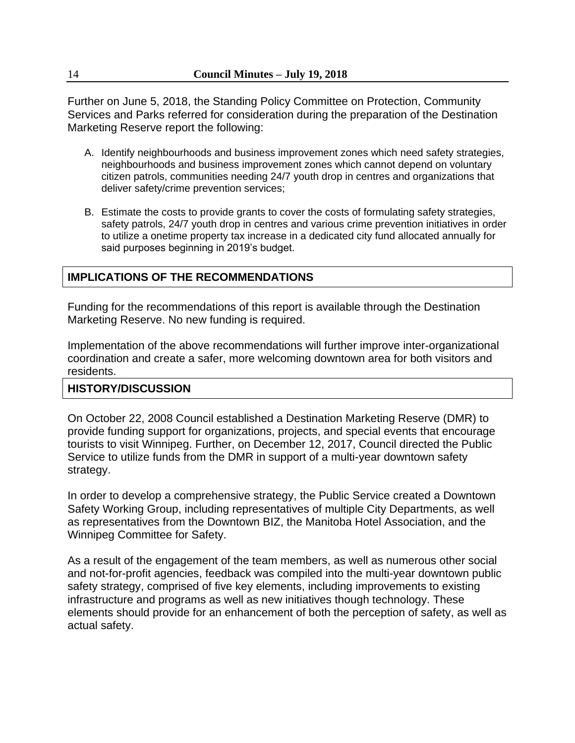Further on June 5, 2018, the Standing Policy Committee on Protection, Community Services and Parks referred for consideration during the preparation of the Destination Marketing Reserve report the following:

- A. Identify neighbourhoods and business improvement zones which need safety strategies, neighbourhoods and business improvement zones which cannot depend on voluntary citizen patrols, communities needing 24/7 youth drop in centres and organizations that deliver safety/crime prevention services;
- B. Estimate the costs to provide grants to cover the costs of formulating safety strategies, safety patrols, 24/7 youth drop in centres and various crime prevention initiatives in order to utilize a onetime property tax increase in a dedicated city fund allocated annually for said purposes beginning in 2019's budget.

# **IMPLICATIONS OF THE RECOMMENDATIONS**

Funding for the recommendations of this report is available through the Destination Marketing Reserve. No new funding is required.

Implementation of the above recommendations will further improve inter-organizational coordination and create a safer, more welcoming downtown area for both visitors and residents.

#### **HISTORY/DISCUSSION**

On October 22, 2008 Council established a Destination Marketing Reserve (DMR) to provide funding support for organizations, projects, and special events that encourage tourists to visit Winnipeg. Further, on December 12, 2017, Council directed the Public Service to utilize funds from the DMR in support of a multi-year downtown safety strategy.

In order to develop a comprehensive strategy, the Public Service created a Downtown Safety Working Group, including representatives of multiple City Departments, as well as representatives from the Downtown BIZ, the Manitoba Hotel Association, and the Winnipeg Committee for Safety.

As a result of the engagement of the team members, as well as numerous other social and not-for-profit agencies, feedback was compiled into the multi-year downtown public safety strategy, comprised of five key elements, including improvements to existing infrastructure and programs as well as new initiatives though technology. These elements should provide for an enhancement of both the perception of safety, as well as actual safety.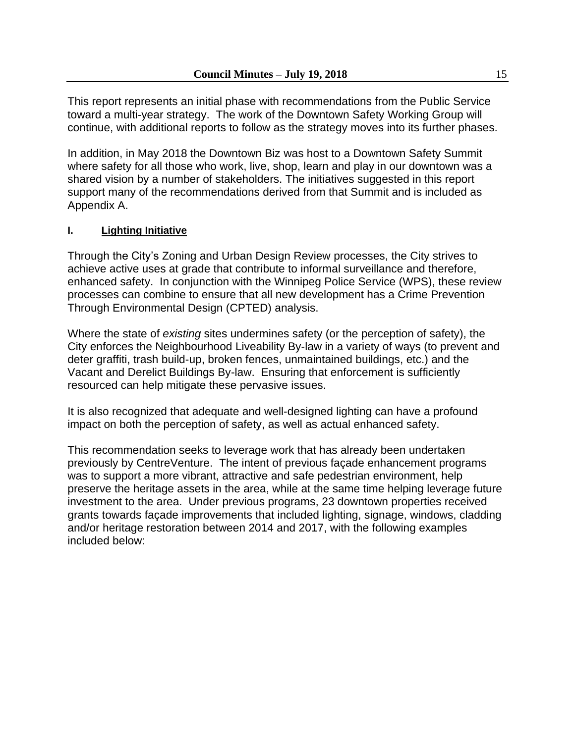This report represents an initial phase with recommendations from the Public Service toward a multi-year strategy. The work of the Downtown Safety Working Group will continue, with additional reports to follow as the strategy moves into its further phases.

In addition, in May 2018 the Downtown Biz was host to a Downtown Safety Summit where safety for all those who work, live, shop, learn and play in our downtown was a shared vision by a number of stakeholders. The initiatives suggested in this report support many of the recommendations derived from that Summit and is included as Appendix A.

# **I. Lighting Initiative**

Through the City's Zoning and Urban Design Review processes, the City strives to achieve active uses at grade that contribute to informal surveillance and therefore, enhanced safety. In conjunction with the Winnipeg Police Service (WPS), these review processes can combine to ensure that all new development has a Crime Prevention Through Environmental Design (CPTED) analysis.

Where the state of *existing* sites undermines safety (or the perception of safety), the City enforces the Neighbourhood Liveability By-law in a variety of ways (to prevent and deter graffiti, trash build-up, broken fences, unmaintained buildings, etc.) and the Vacant and Derelict Buildings By-law. Ensuring that enforcement is sufficiently resourced can help mitigate these pervasive issues.

It is also recognized that adequate and well-designed lighting can have a profound impact on both the perception of safety, as well as actual enhanced safety.

This recommendation seeks to leverage work that has already been undertaken previously by CentreVenture. The intent of previous façade enhancement programs was to support a more vibrant, attractive and safe pedestrian environment, help preserve the heritage assets in the area, while at the same time helping leverage future investment to the area. Under previous programs, 23 downtown properties received grants towards façade improvements that included lighting, signage, windows, cladding and/or heritage restoration between 2014 and 2017, with the following examples included below: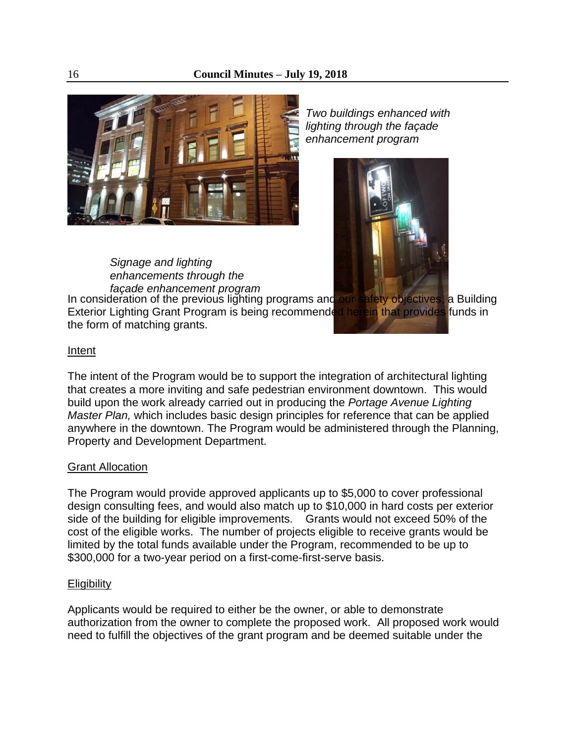

*Two buildings enhanced with lighting through the façade enhancement program*



*Signage and lighting enhancements through the façade enhancement program*

In consideration of the previous lighting programs and our safety objectives, a Building Exterior Lighting Grant Program is being recommended herein that provides funds in the form of matching grants.

#### Intent

The intent of the Program would be to support the integration of architectural lighting that creates a more inviting and safe pedestrian environment downtown. This would build upon the work already carried out in producing the *Portage Avenue Lighting Master Plan,* which includes basic design principles for reference that can be applied anywhere in the downtown. The Program would be administered through the Planning, Property and Development Department.

#### Grant Allocation

The Program would provide approved applicants up to \$5,000 to cover professional design consulting fees, and would also match up to \$10,000 in hard costs per exterior side of the building for eligible improvements. Grants would not exceed 50% of the cost of the eligible works. The number of projects eligible to receive grants would be limited by the total funds available under the Program, recommended to be up to \$300,000 for a two-year period on a first-come-first-serve basis.

#### **Eligibility**

Applicants would be required to either be the owner, or able to demonstrate authorization from the owner to complete the proposed work. All proposed work would need to fulfill the objectives of the grant program and be deemed suitable under the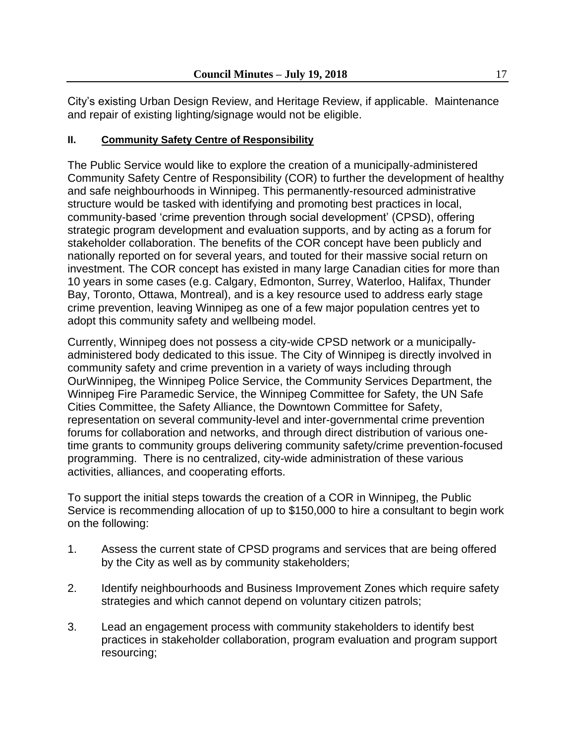City's existing Urban Design Review, and Heritage Review, if applicable. Maintenance and repair of existing lighting/signage would not be eligible.

# **II. Community Safety Centre of Responsibility**

The Public Service would like to explore the creation of a municipally-administered Community Safety Centre of Responsibility (COR) to further the development of healthy and safe neighbourhoods in Winnipeg. This permanently-resourced administrative structure would be tasked with identifying and promoting best practices in local, community-based 'crime prevention through social development' (CPSD), offering strategic program development and evaluation supports, and by acting as a forum for stakeholder collaboration. The benefits of the COR concept have been publicly and nationally reported on for several years, and touted for their massive social return on investment. The COR concept has existed in many large Canadian cities for more than 10 years in some cases (e.g. Calgary, Edmonton, Surrey, Waterloo, Halifax, Thunder Bay, Toronto, Ottawa, Montreal), and is a key resource used to address early stage crime prevention, leaving Winnipeg as one of a few major population centres yet to adopt this community safety and wellbeing model.

Currently, Winnipeg does not possess a city-wide CPSD network or a municipallyadministered body dedicated to this issue. The City of Winnipeg is directly involved in community safety and crime prevention in a variety of ways including through OurWinnipeg, the Winnipeg Police Service, the Community Services Department, the Winnipeg Fire Paramedic Service, the Winnipeg Committee for Safety, the UN Safe Cities Committee, the Safety Alliance, the Downtown Committee for Safety, representation on several community-level and inter-governmental crime prevention forums for collaboration and networks, and through direct distribution of various onetime grants to community groups delivering community safety/crime prevention-focused programming. There is no centralized, city-wide administration of these various activities, alliances, and cooperating efforts.

To support the initial steps towards the creation of a COR in Winnipeg, the Public Service is recommending allocation of up to \$150,000 to hire a consultant to begin work on the following:

- 1. Assess the current state of CPSD programs and services that are being offered by the City as well as by community stakeholders;
- 2. Identify neighbourhoods and Business Improvement Zones which require safety strategies and which cannot depend on voluntary citizen patrols;
- 3. Lead an engagement process with community stakeholders to identify best practices in stakeholder collaboration, program evaluation and program support resourcing;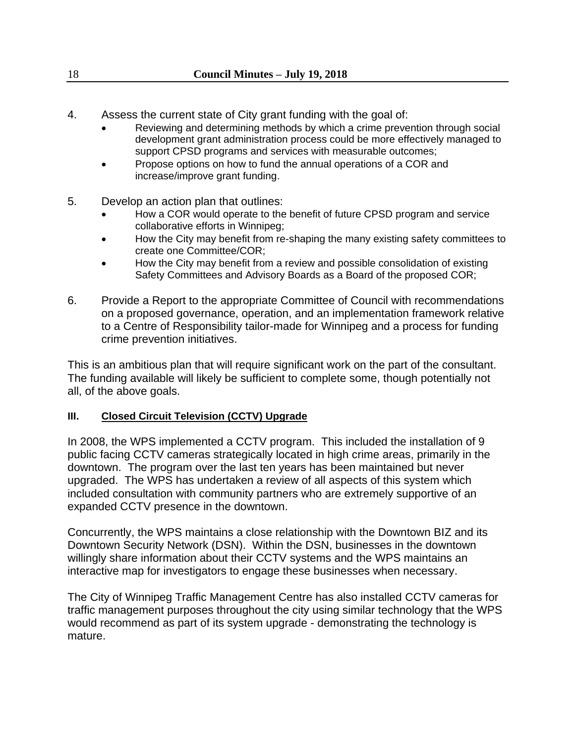- 4. Assess the current state of City grant funding with the goal of:
	- Reviewing and determining methods by which a crime prevention through social development grant administration process could be more effectively managed to support CPSD programs and services with measurable outcomes;
	- Propose options on how to fund the annual operations of a COR and increase/improve grant funding.
- 5. Develop an action plan that outlines:
	- How a COR would operate to the benefit of future CPSD program and service collaborative efforts in Winnipeg;
	- How the City may benefit from re-shaping the many existing safety committees to create one Committee/COR;
	- How the City may benefit from a review and possible consolidation of existing Safety Committees and Advisory Boards as a Board of the proposed COR;
- 6. Provide a Report to the appropriate Committee of Council with recommendations on a proposed governance, operation, and an implementation framework relative to a Centre of Responsibility tailor-made for Winnipeg and a process for funding crime prevention initiatives.

This is an ambitious plan that will require significant work on the part of the consultant. The funding available will likely be sufficient to complete some, though potentially not all, of the above goals.

# **III. Closed Circuit Television (CCTV) Upgrade**

In 2008, the WPS implemented a CCTV program. This included the installation of 9 public facing CCTV cameras strategically located in high crime areas, primarily in the downtown. The program over the last ten years has been maintained but never upgraded. The WPS has undertaken a review of all aspects of this system which included consultation with community partners who are extremely supportive of an expanded CCTV presence in the downtown.

Concurrently, the WPS maintains a close relationship with the Downtown BIZ and its Downtown Security Network (DSN). Within the DSN, businesses in the downtown willingly share information about their CCTV systems and the WPS maintains an interactive map for investigators to engage these businesses when necessary.

The City of Winnipeg Traffic Management Centre has also installed CCTV cameras for traffic management purposes throughout the city using similar technology that the WPS would recommend as part of its system upgrade - demonstrating the technology is mature.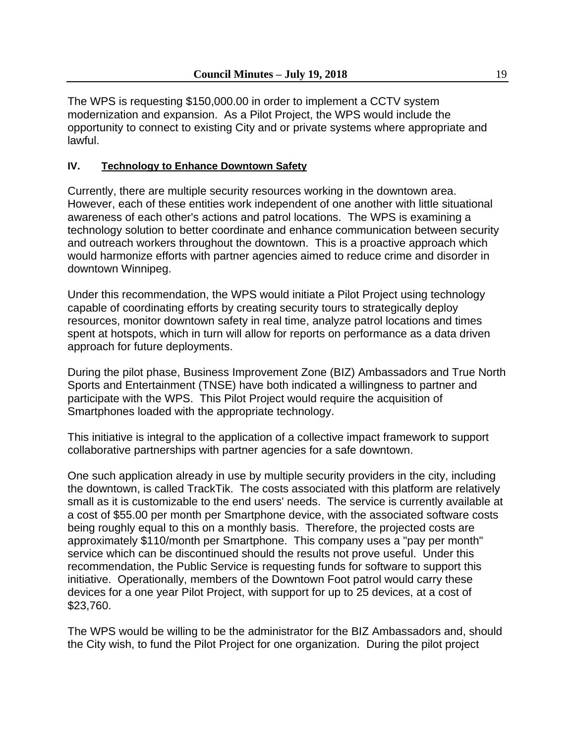The WPS is requesting \$150,000.00 in order to implement a CCTV system modernization and expansion. As a Pilot Project, the WPS would include the opportunity to connect to existing City and or private systems where appropriate and lawful.

# **IV. Technology to Enhance Downtown Safety**

Currently, there are multiple security resources working in the downtown area. However, each of these entities work independent of one another with little situational awareness of each other's actions and patrol locations. The WPS is examining a technology solution to better coordinate and enhance communication between security and outreach workers throughout the downtown. This is a proactive approach which would harmonize efforts with partner agencies aimed to reduce crime and disorder in downtown Winnipeg.

Under this recommendation, the WPS would initiate a Pilot Project using technology capable of coordinating efforts by creating security tours to strategically deploy resources, monitor downtown safety in real time, analyze patrol locations and times spent at hotspots, which in turn will allow for reports on performance as a data driven approach for future deployments.

During the pilot phase, Business Improvement Zone (BIZ) Ambassadors and True North Sports and Entertainment (TNSE) have both indicated a willingness to partner and participate with the WPS. This Pilot Project would require the acquisition of Smartphones loaded with the appropriate technology.

This initiative is integral to the application of a collective impact framework to support collaborative partnerships with partner agencies for a safe downtown.

One such application already in use by multiple security providers in the city, including the downtown, is called TrackTik. The costs associated with this platform are relatively small as it is customizable to the end users' needs. The service is currently available at a cost of \$55.00 per month per Smartphone device, with the associated software costs being roughly equal to this on a monthly basis. Therefore, the projected costs are approximately \$110/month per Smartphone. This company uses a "pay per month" service which can be discontinued should the results not prove useful. Under this recommendation, the Public Service is requesting funds for software to support this initiative. Operationally, members of the Downtown Foot patrol would carry these devices for a one year Pilot Project, with support for up to 25 devices, at a cost of \$23,760.

The WPS would be willing to be the administrator for the BIZ Ambassadors and, should the City wish, to fund the Pilot Project for one organization. During the pilot project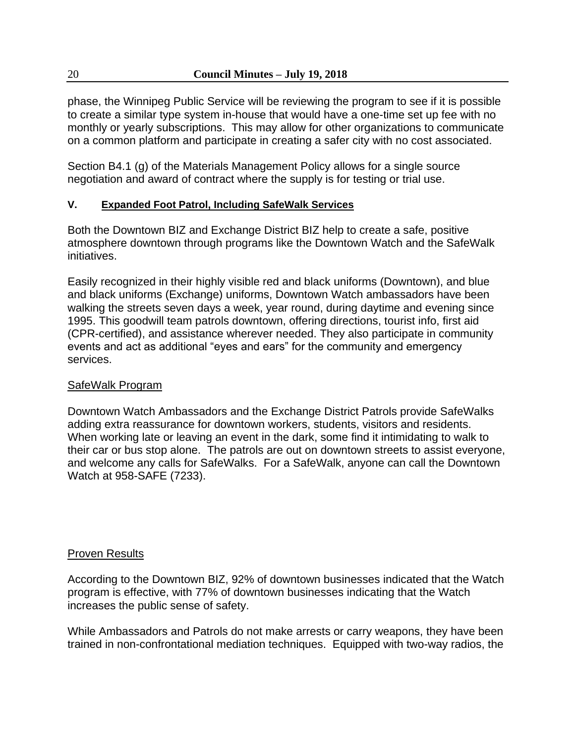phase, the Winnipeg Public Service will be reviewing the program to see if it is possible to create a similar type system in-house that would have a one-time set up fee with no monthly or yearly subscriptions. This may allow for other organizations to communicate on a common platform and participate in creating a safer city with no cost associated.

Section B4.1 (g) of the Materials Management Policy allows for a single source negotiation and award of contract where the supply is for testing or trial use.

# **V. Expanded Foot Patrol, Including SafeWalk Services**

Both the Downtown BIZ and Exchange District BIZ help to create a safe, positive atmosphere downtown through programs like the Downtown Watch and the SafeWalk initiatives.

Easily recognized in their highly visible red and black uniforms (Downtown), and blue and black uniforms (Exchange) uniforms, Downtown Watch ambassadors have been walking the streets seven days a week, year round, during daytime and evening since 1995. This goodwill team patrols downtown, offering directions, tourist info, first aid (CPR-certified), and assistance wherever needed. They also participate in community events and act as additional "eyes and ears" for the community and emergency services.

# SafeWalk Program

Downtown Watch Ambassadors and the Exchange District Patrols provide SafeWalks adding extra reassurance for downtown workers, students, visitors and residents. When working late or leaving an event in the dark, some find it intimidating to walk to their car or bus stop alone. The patrols are out on downtown streets to assist everyone, and welcome any calls for SafeWalks. For a SafeWalk, anyone can call the Downtown Watch at 958-SAFE (7233).

# Proven Results

According to the Downtown BIZ, 92% of downtown businesses indicated that the Watch program is effective, with 77% of downtown businesses indicating that the Watch increases the public sense of safety.

While Ambassadors and Patrols do not make arrests or carry weapons, they have been trained in non-confrontational mediation techniques. Equipped with two-way radios, the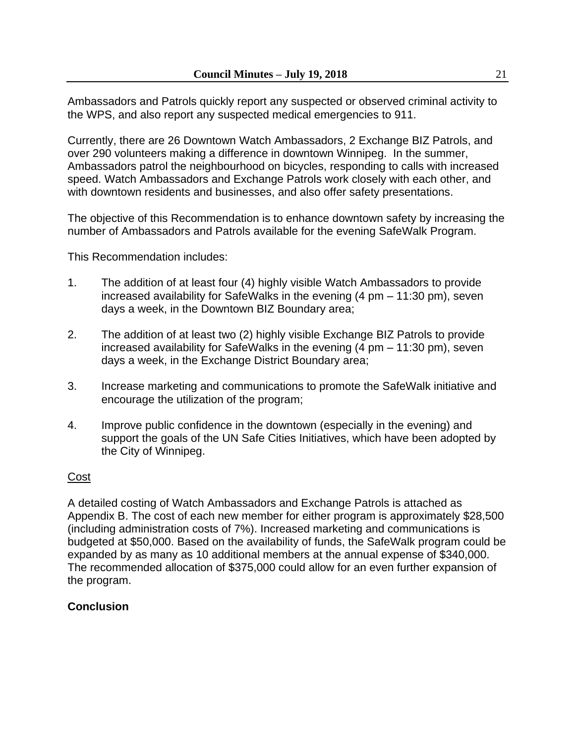Ambassadors and Patrols quickly report any suspected or observed criminal activity to the WPS, and also report any suspected medical emergencies to 911.

Currently, there are 26 Downtown Watch Ambassadors, 2 Exchange BIZ Patrols, and over 290 volunteers making a difference in downtown Winnipeg. In the summer, Ambassadors patrol the neighbourhood on bicycles, responding to calls with increased speed. Watch Ambassadors and Exchange Patrols work closely with each other, and with downtown residents and businesses, and also offer safety presentations.

The objective of this Recommendation is to enhance downtown safety by increasing the number of Ambassadors and Patrols available for the evening SafeWalk Program.

This Recommendation includes:

- 1. The addition of at least four (4) highly visible Watch Ambassadors to provide increased availability for SafeWalks in the evening (4 pm – 11:30 pm), seven days a week, in the Downtown BIZ Boundary area;
- 2. The addition of at least two (2) highly visible Exchange BIZ Patrols to provide increased availability for SafeWalks in the evening (4 pm – 11:30 pm), seven days a week, in the Exchange District Boundary area;
- 3. Increase marketing and communications to promote the SafeWalk initiative and encourage the utilization of the program;
- 4. Improve public confidence in the downtown (especially in the evening) and support the goals of the UN Safe Cities Initiatives, which have been adopted by the City of Winnipeg.

# Cost

A detailed costing of Watch Ambassadors and Exchange Patrols is attached as Appendix B. The cost of each new member for either program is approximately \$28,500 (including administration costs of 7%). Increased marketing and communications is budgeted at \$50,000. Based on the availability of funds, the SafeWalk program could be expanded by as many as 10 additional members at the annual expense of \$340,000. The recommended allocation of \$375,000 could allow for an even further expansion of the program.

# **Conclusion**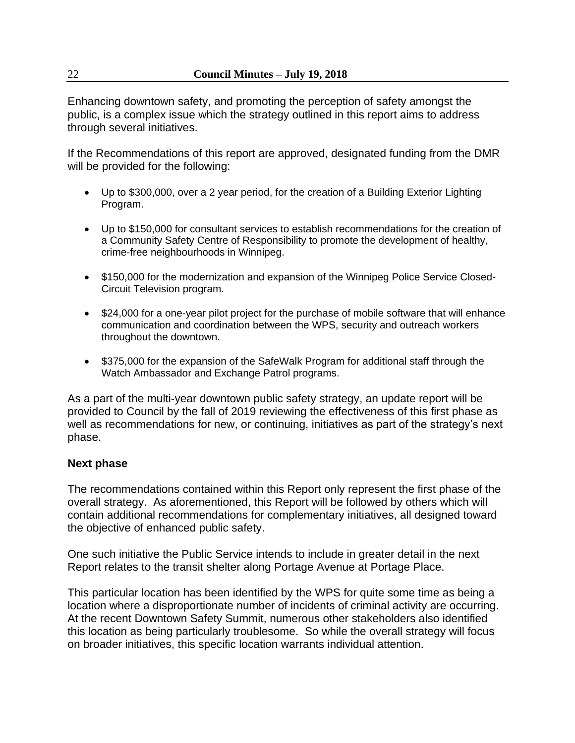Enhancing downtown safety, and promoting the perception of safety amongst the public, is a complex issue which the strategy outlined in this report aims to address through several initiatives.

If the Recommendations of this report are approved, designated funding from the DMR will be provided for the following:

- Up to \$300,000, over a 2 year period, for the creation of a Building Exterior Lighting Program.
- Up to \$150,000 for consultant services to establish recommendations for the creation of a Community Safety Centre of Responsibility to promote the development of healthy, crime-free neighbourhoods in Winnipeg.
- \$150,000 for the modernization and expansion of the Winnipeg Police Service Closed-Circuit Television program.
- \$24,000 for a one-year pilot project for the purchase of mobile software that will enhance communication and coordination between the WPS, security and outreach workers throughout the downtown.
- \$375,000 for the expansion of the SafeWalk Program for additional staff through the Watch Ambassador and Exchange Patrol programs.

As a part of the multi-year downtown public safety strategy, an update report will be provided to Council by the fall of 2019 reviewing the effectiveness of this first phase as well as recommendations for new, or continuing, initiatives as part of the strategy's next phase.

# **Next phase**

The recommendations contained within this Report only represent the first phase of the overall strategy. As aforementioned, this Report will be followed by others which will contain additional recommendations for complementary initiatives, all designed toward the objective of enhanced public safety.

One such initiative the Public Service intends to include in greater detail in the next Report relates to the transit shelter along Portage Avenue at Portage Place.

This particular location has been identified by the WPS for quite some time as being a location where a disproportionate number of incidents of criminal activity are occurring. At the recent Downtown Safety Summit, numerous other stakeholders also identified this location as being particularly troublesome. So while the overall strategy will focus on broader initiatives, this specific location warrants individual attention.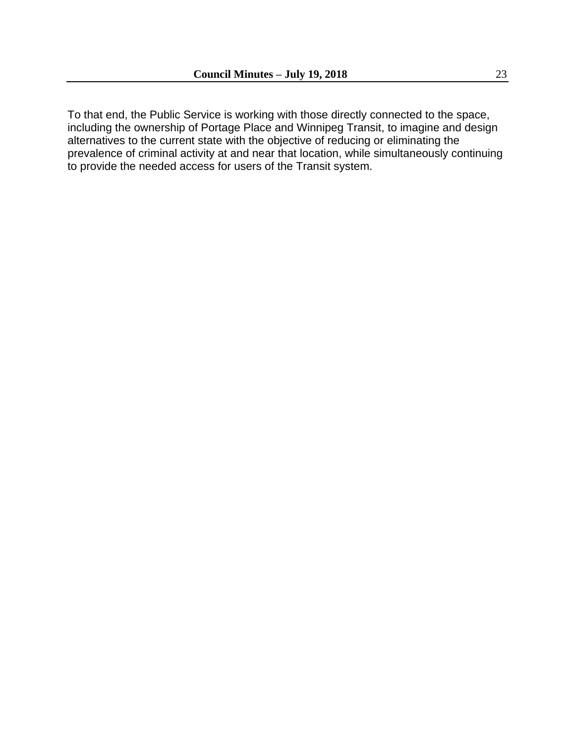To that end, the Public Service is working with those directly connected to the space, including the ownership of Portage Place and Winnipeg Transit, to imagine and design alternatives to the current state with the objective of reducing or eliminating the prevalence of criminal activity at and near that location, while simultaneously continuing to provide the needed access for users of the Transit system.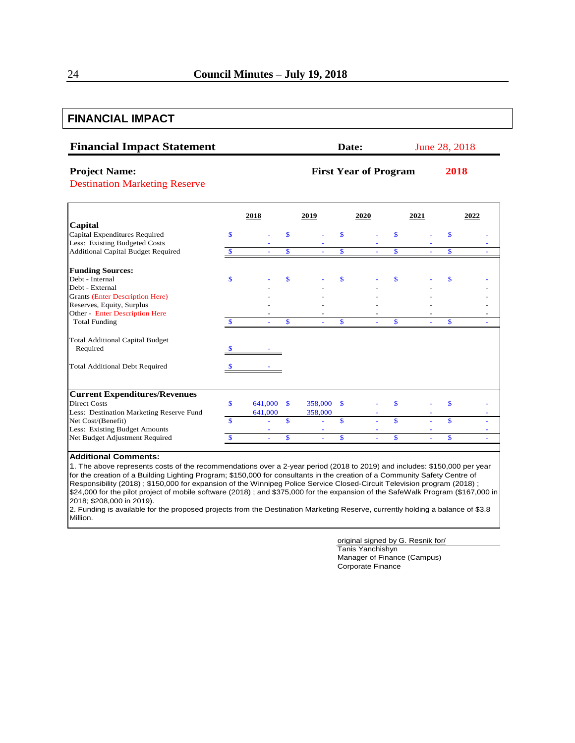# **FINANCIAL IMPACT**

| <b>Financial Impact Statement</b> | <b>Date:</b> | June 28, 2018 |
|-----------------------------------|--------------|---------------|
|                                   |              |               |

#### **Project Name: First Year of Program 2018**

Destination Marketing Reserve

|                                           |              | 2018    |              | 2019     |              | 2020 | 2021 |                         | 2022 |
|-------------------------------------------|--------------|---------|--------------|----------|--------------|------|------|-------------------------|------|
| Capital                                   |              |         |              |          |              |      |      |                         |      |
| Capital Expenditures Required             | $\mathbf{s}$ |         |              |          | \$           |      |      | \$                      |      |
| Less: Existing Budgeted Costs             |              |         |              |          |              |      |      |                         |      |
| <b>Additional Capital Budget Required</b> |              |         | \$           |          | \$           |      | \$   | \$                      |      |
| <b>Funding Sources:</b>                   |              |         |              |          |              |      |      |                         |      |
| Debt - Internal                           | $\mathbf S$  |         | \$           |          | \$           |      |      | \$                      |      |
| Debt - External                           |              |         |              |          |              |      |      |                         |      |
| <b>Grants (Enter Description Here)</b>    |              |         |              |          |              |      |      |                         |      |
| Reserves, Equity, Surplus                 |              |         |              |          |              |      |      |                         |      |
| <b>Other - Enter Description Here</b>     |              |         |              |          |              |      |      |                         |      |
| <b>Total Funding</b>                      |              |         | \$           |          | <b>S</b>     |      | \$   | \$                      |      |
| <b>Total Additional Capital Budget</b>    |              |         |              |          |              |      |      |                         |      |
| Required                                  |              |         |              |          |              |      |      |                         |      |
| <b>Total Additional Debt Required</b>     |              |         |              |          |              |      |      |                         |      |
|                                           |              |         |              |          |              |      |      |                         |      |
| <b>Current Expenditures/Revenues</b>      |              |         |              |          |              |      |      |                         |      |
| <b>Direct Costs</b>                       | $\mathbf S$  | 641,000 | $\mathbf{s}$ | 358,000  | $\mathbf{s}$ |      |      |                         |      |
| Less: Destination Marketing Reserve Fund  |              | 641,000 |              | 358,000  |              |      |      |                         |      |
| Net Cost/(Benefit)                        | \$.          |         | $\mathbf{s}$ |          | \$           |      | \$   | $\overline{\mathbf{s}}$ |      |
| Less: Existing Budget Amounts             |              |         |              |          |              |      |      |                         |      |
| Net Budget Adjustment Required            |              |         | \$           | $\equiv$ | $\mathbf{s}$ |      | \$   | \$                      |      |

#### **Additional Comments:**

1. The above represents costs of the recommendations over a 2-year period (2018 to 2019) and includes: \$150,000 per year for the creation of a Building Lighting Program; \$150,000 for consultants in the creation of a Community Safety Centre of Responsibility (2018) ; \$150,000 for expansion of the Winnipeg Police Service Closed-Circuit Television program (2018) ; \$24,000 for the pilot project of mobile software (2018) ; and \$375,000 for the expansion of the SafeWalk Program (\$167,000 in 2018; \$208,000 in 2019).

2. Funding is available for the proposed projects from the Destination Marketing Reserve, currently holding a balance of \$3.8 Million.

#### original signed by G. Resnik for/ Tanis Yanchishyn Manager of Finance (Campus) Corporate Finance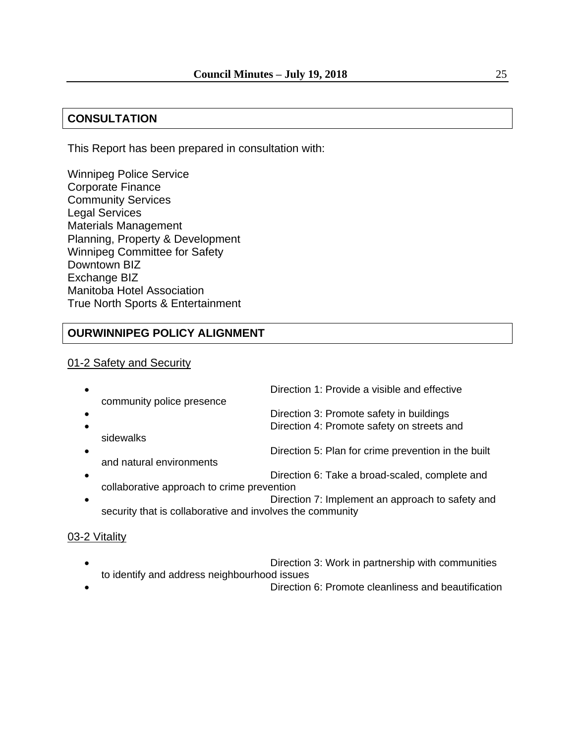# **CONSULTATION**

This Report has been prepared in consultation with:

Winnipeg Police Service Corporate Finance Community Services Legal Services Materials Management Planning, Property & Development Winnipeg Committee for Safety Downtown BIZ Exchange BIZ Manitoba Hotel Association True North Sports & Entertainment

# **OURWINNIPEG POLICY ALIGNMENT**

#### 01-2 Safety and Security

|                                                           | Direction 1: Provide a visible and effective        |
|-----------------------------------------------------------|-----------------------------------------------------|
| community police presence                                 |                                                     |
|                                                           | Direction 3: Promote safety in buildings            |
|                                                           | Direction 4: Promote safety on streets and          |
| sidewalks                                                 |                                                     |
|                                                           | Direction 5: Plan for crime prevention in the built |
| and natural environments                                  |                                                     |
|                                                           | Direction 6: Take a broad-scaled, complete and      |
| collaborative approach to crime prevention                |                                                     |
|                                                           | Direction 7: Implement an approach to safety and    |
| security that is collaborative and involves the community |                                                     |
|                                                           |                                                     |

#### 03-2 Vitality

- Direction 3: Work in partnership with communities to identify and address neighbourhood issues
- Direction 6: Promote cleanliness and beautification